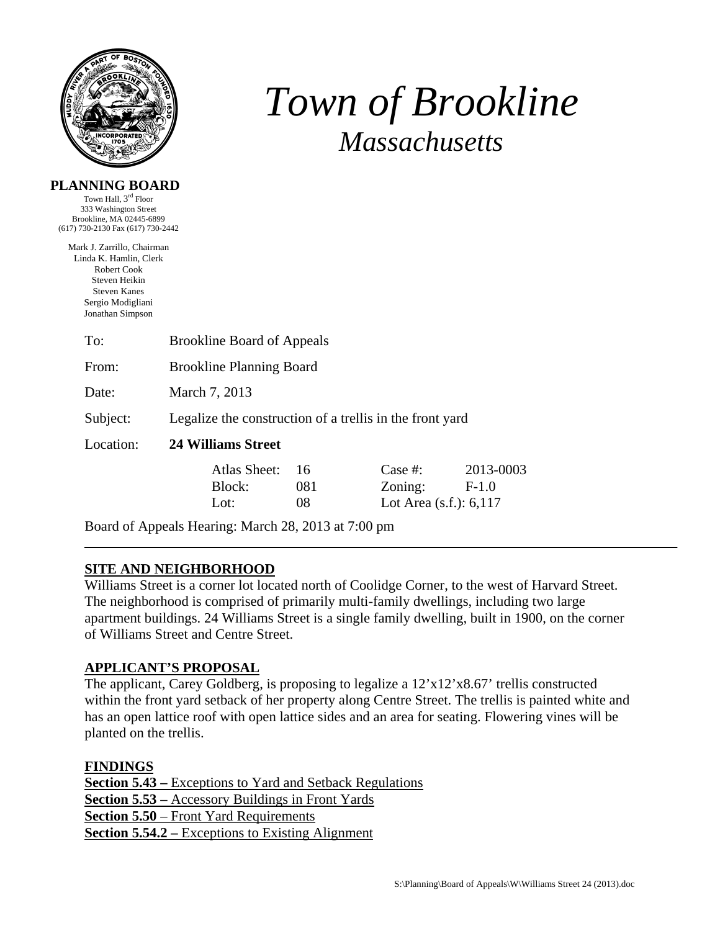

# *Town of Brookline Massachusetts*

### **PLANNING BOARD**

Town Hall, 3rd Floor 333 Washington Street Brookline, MA 02445-6899 (617) 730-2130 Fax (617) 730-2442

Mark J. Zarrillo, Chairman Linda K. Hamlin, Clerk Robert Cook Steven Heikin Steven Kanes Sergio Modigliani Jonathan Simpson

| To:       | <b>Brookline Board of Appeals</b>                        |           |                           |                      |  |
|-----------|----------------------------------------------------------|-----------|---------------------------|----------------------|--|
| From:     | <b>Brookline Planning Board</b>                          |           |                           |                      |  |
| Date:     | March 7, 2013                                            |           |                           |                      |  |
| Subject:  | Legalize the construction of a trellis in the front yard |           |                           |                      |  |
| Location: | 24 Williams Street                                       |           |                           |                      |  |
|           | Atlas Sheet:<br>Block:                                   | 16<br>081 | Case #:<br>Zoning:        | 2013-0003<br>$F-1.0$ |  |
|           | Lot:                                                     | 08        | Lot Area $(s.f.)$ : 6,117 |                      |  |
|           |                                                          |           |                           |                      |  |

Board of Appeals Hearing: March 28, 2013 at 7:00 pm

# **SITE AND NEIGHBORHOOD**

Williams Street is a corner lot located north of Coolidge Corner, to the west of Harvard Street. The neighborhood is comprised of primarily multi-family dwellings, including two large apartment buildings. 24 Williams Street is a single family dwelling, built in 1900, on the corner of Williams Street and Centre Street.

# **APPLICANT'S PROPOSAL**

The applicant, Carey Goldberg, is proposing to legalize a 12'x12'x8.67' trellis constructed within the front yard setback of her property along Centre Street. The trellis is painted white and has an open lattice roof with open lattice sides and an area for seating. Flowering vines will be planted on the trellis.

#### **FINDINGS**

**Section 5.43 –** Exceptions to Yard and Setback Regulations **Section 5.53 –** Accessory Buildings in Front Yards **Section 5.50** – Front Yard Requirements **Section 5.54.2 –** Exceptions to Existing Alignment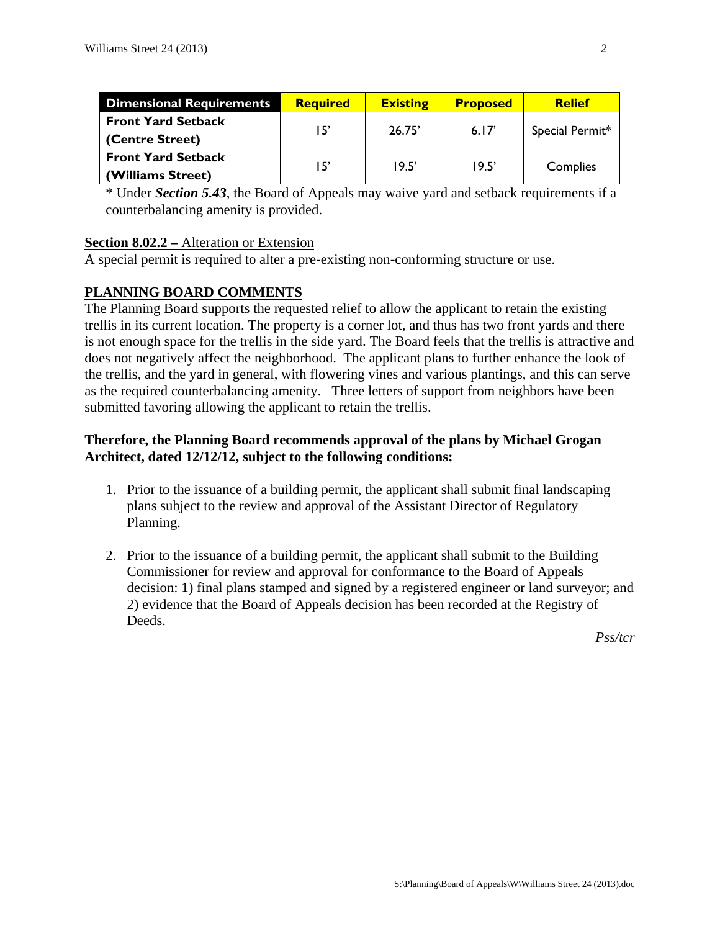| <b>Dimensional Requirements</b> | <b>Required</b> | <b>Existing</b> | <b>Proposed</b> | <b>Relief</b>   |
|---------------------------------|-----------------|-----------------|-----------------|-----------------|
| <b>Front Yard Setback</b>       | 15'             | 26.75'          | 6.17'           | Special Permit* |
| (Centre Street)                 |                 |                 |                 |                 |
| <b>Front Yard Setback</b>       | 15'             | 19.5'           | 19.5'           | Complies        |
| (Williams Street)               |                 |                 |                 |                 |

\* Under *Section 5.43*, the Board of Appeals may waive yard and setback requirements if a counterbalancing amenity is provided.

#### **Section 8.02.2 –** Alteration or Extension

A special permit is required to alter a pre-existing non-conforming structure or use.

## **PLANNING BOARD COMMENTS**

The Planning Board supports the requested relief to allow the applicant to retain the existing trellis in its current location. The property is a corner lot, and thus has two front yards and there is not enough space for the trellis in the side yard. The Board feels that the trellis is attractive and does not negatively affect the neighborhood. The applicant plans to further enhance the look of the trellis, and the yard in general, with flowering vines and various plantings, and this can serve as the required counterbalancing amenity. Three letters of support from neighbors have been submitted favoring allowing the applicant to retain the trellis.

## **Therefore, the Planning Board recommends approval of the plans by Michael Grogan Architect, dated 12/12/12, subject to the following conditions:**

- 1. Prior to the issuance of a building permit, the applicant shall submit final landscaping plans subject to the review and approval of the Assistant Director of Regulatory Planning.
- 2. Prior to the issuance of a building permit, the applicant shall submit to the Building Commissioner for review and approval for conformance to the Board of Appeals decision: 1) final plans stamped and signed by a registered engineer or land surveyor; and 2) evidence that the Board of Appeals decision has been recorded at the Registry of Deeds.

*Pss/tcr*